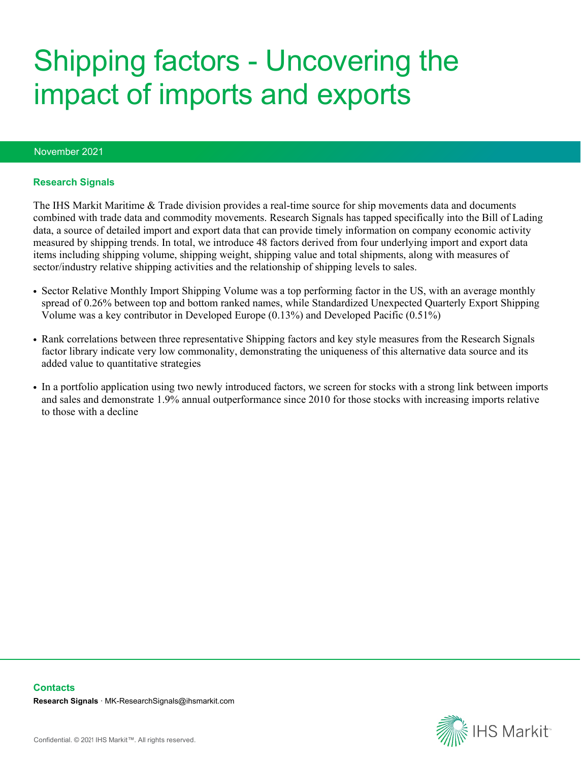# Shipping factors - Uncovering the impact of imports and exports

#### November 2021

#### **Research Signals**

The IHS Markit Maritime & Trade division provides a real-time source for ship movements data and documents combined with trade data and commodity movements. Research Signals has tapped specifically into the Bill of Lading data, a source of detailed import and export data that can provide timely information on company economic activity measured by shipping trends. In total, we introduce 48 factors derived from four underlying import and export data items including shipping volume, shipping weight, shipping value and total shipments, along with measures of sector/industry relative shipping activities and the relationship of shipping levels to sales.

- Sector Relative Monthly Import Shipping Volume was a top performing factor in the US, with an average monthly spread of 0.26% between top and bottom ranked names, while Standardized Unexpected Quarterly Export Shipping Volume was a key contributor in Developed Europe (0.13%) and Developed Pacific (0.51%)
- Rank correlations between three representative Shipping factors and key style measures from the Research Signals factor library indicate very low commonality, demonstrating the uniqueness of this alternative data source and its added value to quantitative strategies
- In a portfolio application using two newly introduced factors, we screen for stocks with a strong link between imports and sales and demonstrate 1.9% annual outperformance since 2010 for those stocks with increasing imports relative to those with a decline

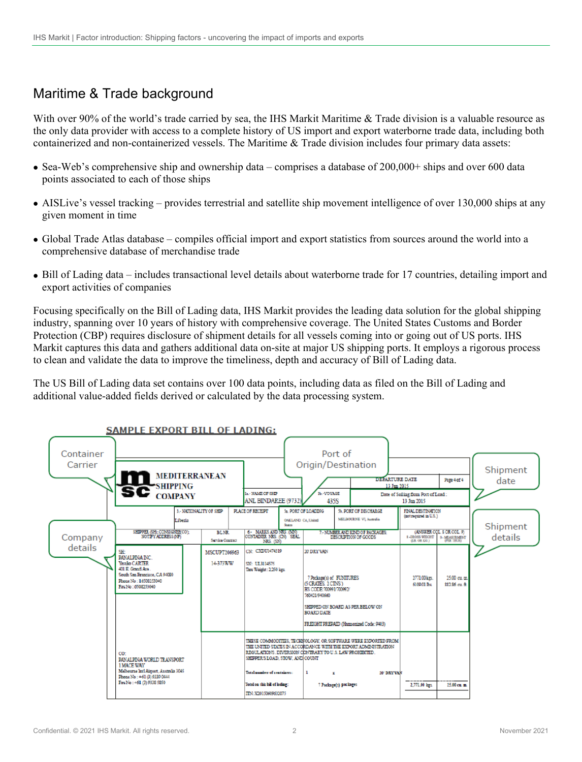## Maritime & Trade background

With over 90% of the world's trade carried by sea, the IHS Markit Maritime & Trade division is a valuable resource as the only data provider with access to a complete history of US import and export waterborne trade data, including both containerized and non-containerized vessels. The Maritime & Trade division includes four primary data assets:

- Sea-Web's comprehensive ship and ownership data comprises a database of  $200,000+$  ships and over 600 data points associated to each of those ships
- AISLive's vessel tracking provides terrestrial and satellite ship movement intelligence of over 130,000 ships at any given moment in time
- Global Trade Atlas database compiles official import and export statistics from sources around the world into a comprehensive database of merchandise trade
- Bill of Lading data includes transactional level details about waterborne trade for 17 countries, detailing import and export activities of companies

Focusing specifically on the Bill of Lading data, IHS Markit provides the leading data solution for the global shipping industry, spanning over 10 years of history with comprehensive coverage. The United States Customs and Border Protection (CBP) requires disclosure of shipment details for all vessels coming into or going out of US ports. IHS Markit captures this data and gathers additional data on-site at major US shipping ports. It employs a rigorous process to clean and validate the data to improve the timeliness, depth and accuracy of Bill of Lading data.

The US Bill of Lading data set contains over 100 data points, including data as filed on the Bill of Lading and additional value-added fields derived or calculated by the data processing system.

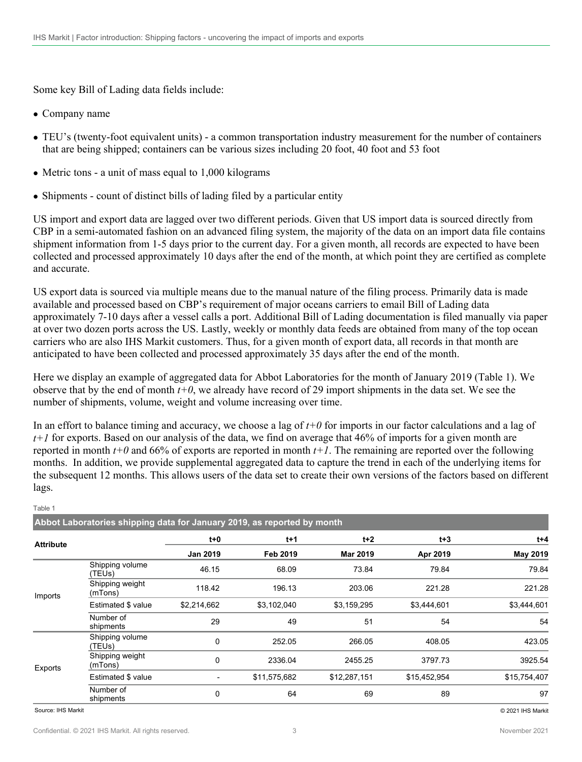Some key Bill of Lading data fields include:

- Company name
- TEU's (twenty-foot equivalent units) a common transportation industry measurement for the number of containers that are being shipped; containers can be various sizes including 20 foot, 40 foot and 53 foot
- Metric tons a unit of mass equal to 1,000 kilograms
- Shipments count of distinct bills of lading filed by a particular entity

US import and export data are lagged over two different periods. Given that US import data is sourced directly from CBP in a semi-automated fashion on an advanced filing system, the majority of the data on an import data file contains shipment information from 1-5 days prior to the current day. For a given month, all records are expected to have been collected and processed approximately 10 days after the end of the month, at which point they are certified as complete and accurate.

US export data is sourced via multiple means due to the manual nature of the filing process. Primarily data is made available and processed based on CBP's requirement of major oceans carriers to email Bill of Lading data approximately 7-10 days after a vessel calls a port. Additional Bill of Lading documentation is filed manually via paper at over two dozen ports across the US. Lastly, weekly or monthly data feeds are obtained from many of the top ocean carriers who are also IHS Markit customers. Thus, for a given month of export data, all records in that month are anticipated to have been collected and processed approximately 35 days after the end of the month.

Here we display an example of aggregated data for Abbot Laboratories for the month of January 2019 (Table 1). We observe that by the end of month *t+0*, we already have record of 29 import shipments in the data set. We see the number of shipments, volume, weight and volume increasing over time.

In an effort to balance timing and accuracy, we choose a lag of  $t+0$  for imports in our factor calculations and a lag of *t+1* for exports. Based on our analysis of the data, we find on average that 46% of imports for a given month are reported in month  $t+0$  and 66% of exports are reported in month  $t+1$ . The remaining are reported over the following months. In addition, we provide supplemental aggregated data to capture the trend in each of the underlying items for the subsequent 12 months. This allows users of the data set to create their own versions of the factors based on different lags.

|                             | Abbot Laboratories shipping data for January 2019, as reported by month |                 |              |              |              |              |
|-----------------------------|-------------------------------------------------------------------------|-----------------|--------------|--------------|--------------|--------------|
| <b>Attribute</b><br>Imports |                                                                         | $t+0$           | $t+1$        | $t+2$        | $t + 3$      | $t + 4$      |
|                             |                                                                         | <b>Jan 2019</b> | Feb 2019     | Mar 2019     | Apr 2019     | May 2019     |
|                             | Shipping volume<br>(TEUs)                                               | 46.15           | 68.09        | 73.84        | 79.84        | 79.84        |
|                             | Shipping weight<br>(mTons)                                              | 118.42          | 196.13       | 203.06       | 221.28       | 221.28       |
|                             | Estimated \$ value                                                      | \$2,214,662     | \$3,102,040  | \$3,159,295  | \$3,444,601  | \$3,444,601  |
|                             | Number of<br>shipments                                                  | 29              | 49           | 51           | 54           | 54           |
| Exports                     | Shipping volume<br>(TEUs)                                               | 0               | 252.05       | 266.05       | 408.05       | 423.05       |
|                             | Shipping weight<br>(mTons)                                              | 0               | 2336.04      | 2455.25      | 3797.73      | 3925.54      |
|                             | Estimated \$ value                                                      |                 | \$11,575,682 | \$12,287,151 | \$15,452,954 | \$15,754,407 |
|                             | Number of<br>shipments                                                  | 0               | 64           | 69           | 89           | 97           |

Source: IHS Markit © 2021 IHS Markit

Table 1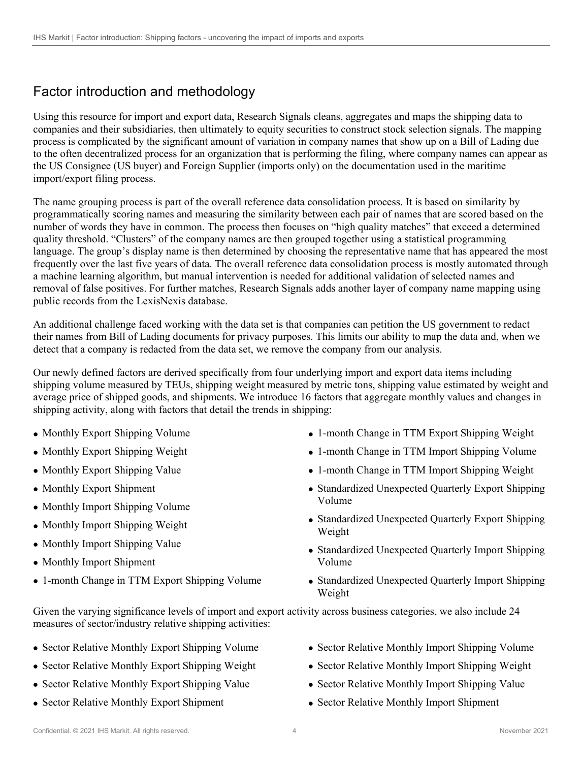## Factor introduction and methodology

Using this resource for import and export data, Research Signals cleans, aggregates and maps the shipping data to companies and their subsidiaries, then ultimately to equity securities to construct stock selection signals. The mapping process is complicated by the significant amount of variation in company names that show up on a Bill of Lading due to the often decentralized process for an organization that is performing the filing, where company names can appear as the US Consignee (US buyer) and Foreign Supplier (imports only) on the documentation used in the maritime import/export filing process.

The name grouping process is part of the overall reference data consolidation process. It is based on similarity by programmatically scoring names and measuring the similarity between each pair of names that are scored based on the number of words they have in common. The process then focuses on "high quality matches" that exceed a determined quality threshold. "Clusters" of the company names are then grouped together using a statistical programming language. The group's display name is then determined by choosing the representative name that has appeared the most frequently over the last five years of data. The overall reference data consolidation process is mostly automated through a machine learning algorithm, but manual intervention is needed for additional validation of selected names and removal of false positives. For further matches, Research Signals adds another layer of company name mapping using public records from the LexisNexis database.

An additional challenge faced working with the data set is that companies can petition the US government to redact their names from Bill of Lading documents for privacy purposes. This limits our ability to map the data and, when we detect that a company is redacted from the data set, we remove the company from our analysis.

Our newly defined factors are derived specifically from four underlying import and export data items including shipping volume measured by TEUs, shipping weight measured by metric tons, shipping value estimated by weight and average price of shipped goods, and shipments. We introduce 16 factors that aggregate monthly values and changes in shipping activity, along with factors that detail the trends in shipping:

- Monthly Export Shipping Volume
- Monthly Export Shipping Weight
- Monthly Export Shipping Value
- Monthly Export Shipment
- Monthly Import Shipping Volume
- Monthly Import Shipping Weight
- Monthly Import Shipping Value
- Monthly Import Shipment
- 1-month Change in TTM Export Shipping Volume
- 1-month Change in TTM Export Shipping Weight
- 1-month Change in TTM Import Shipping Volume
- 1-month Change in TTM Import Shipping Weight
- Standardized Unexpected Quarterly Export Shipping Volume
- Standardized Unexpected Quarterly Export Shipping Weight
- Standardized Unexpected Quarterly Import Shipping Volume
- Standardized Unexpected Quarterly Import Shipping Weight

Given the varying significance levels of import and export activity across business categories, we also include 24 measures of sector/industry relative shipping activities:

- Sector Relative Monthly Export Shipping Volume
- Sector Relative Monthly Export Shipping Weight
- Sector Relative Monthly Export Shipping Value
- Sector Relative Monthly Export Shipment
- Sector Relative Monthly Import Shipping Volume
- Sector Relative Monthly Import Shipping Weight
- Sector Relative Monthly Import Shipping Value
- Sector Relative Monthly Import Shipment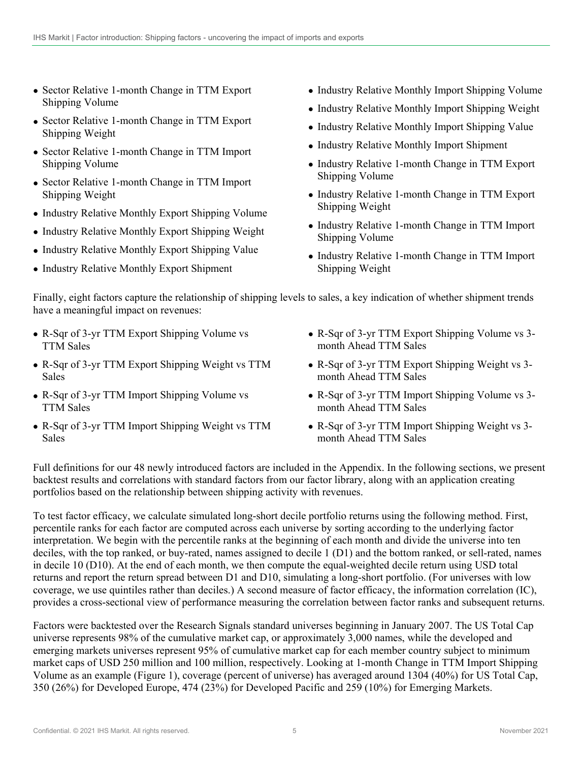- Sector Relative 1-month Change in TTM Export Shipping Volume
- Sector Relative 1-month Change in TTM Export Shipping Weight
- Sector Relative 1-month Change in TTM Import Shipping Volume
- Sector Relative 1-month Change in TTM Import Shipping Weight
- Industry Relative Monthly Export Shipping Volume
- Industry Relative Monthly Export Shipping Weight
- Industry Relative Monthly Export Shipping Value
- Industry Relative Monthly Export Shipment
- Industry Relative Monthly Import Shipping Volume
- Industry Relative Monthly Import Shipping Weight
- Industry Relative Monthly Import Shipping Value
- Industry Relative Monthly Import Shipment
- Industry Relative 1-month Change in TTM Export Shipping Volume
- Industry Relative 1-month Change in TTM Export Shipping Weight
- Industry Relative 1-month Change in TTM Import Shipping Volume
- Industry Relative 1-month Change in TTM Import Shipping Weight

Finally, eight factors capture the relationship of shipping levels to sales, a key indication of whether shipment trends have a meaningful impact on revenues:

- R-Sqr of 3-yr TTM Export Shipping Volume vs TTM Sales
- R-Sqr of 3-yr TTM Export Shipping Weight vs TTM Sales
- R-Sqr of 3-yr TTM Import Shipping Volume vs TTM Sales
- R-Sqr of 3-yr TTM Import Shipping Weight vs TTM Sales
- R-Sqr of 3-yr TTM Export Shipping Volume vs 3 month Ahead TTM Sales
- R-Sqr of 3-yr TTM Export Shipping Weight vs 3 month Ahead TTM Sales
- R-Sqr of 3-yr TTM Import Shipping Volume vs 3 month Ahead TTM Sales
- R-Sqr of 3-yr TTM Import Shipping Weight vs 3 month Ahead TTM Sales

Full definitions for our 48 newly introduced factors are included in the Appendix. In the following sections, we present backtest results and correlations with standard factors from our factor library, along with an application creating portfolios based on the relationship between shipping activity with revenues.

To test factor efficacy, we calculate simulated long-short decile portfolio returns using the following method. First, percentile ranks for each factor are computed across each universe by sorting according to the underlying factor interpretation. We begin with the percentile ranks at the beginning of each month and divide the universe into ten deciles, with the top ranked, or buy-rated, names assigned to decile 1 (D1) and the bottom ranked, or sell-rated, names in decile 10 (D10). At the end of each month, we then compute the equal-weighted decile return using USD total returns and report the return spread between D1 and D10, simulating a long-short portfolio. (For universes with low coverage, we use quintiles rather than deciles.) A second measure of factor efficacy, the information correlation (IC), provides a cross-sectional view of performance measuring the correlation between factor ranks and subsequent returns.

Factors were backtested over the Research Signals standard universes beginning in January 2007. The US Total Cap universe represents 98% of the cumulative market cap, or approximately 3,000 names, while the developed and emerging markets universes represent 95% of cumulative market cap for each member country subject to minimum market caps of USD 250 million and 100 million, respectively. Looking at 1-month Change in TTM Import Shipping Volume as an example (Figure 1), coverage (percent of universe) has averaged around 1304 (40%) for US Total Cap, 350 (26%) for Developed Europe, 474 (23%) for Developed Pacific and 259 (10%) for Emerging Markets.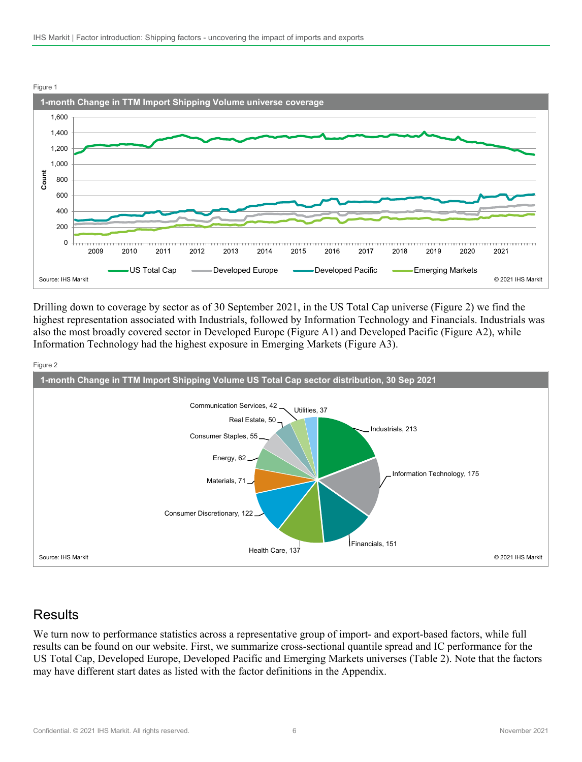

Drilling down to coverage by sector as of 30 September 2021, in the US Total Cap universe (Figure 2) we find the highest representation associated with Industrials, followed by Information Technology and Financials. Industrials was also the most broadly covered sector in Developed Europe (Figure A1) and Developed Pacific (Figure A2), while Information Technology had the highest exposure in Emerging Markets (Figure A3).





### **Results**

We turn now to performance statistics across a representative group of import- and export-based factors, while full results can be found on our website. First, we summarize cross-sectional quantile spread and IC performance for the US Total Cap, Developed Europe, Developed Pacific and Emerging Markets universes (Table 2). Note that the factors may have different start dates as listed with the factor definitions in the Appendix.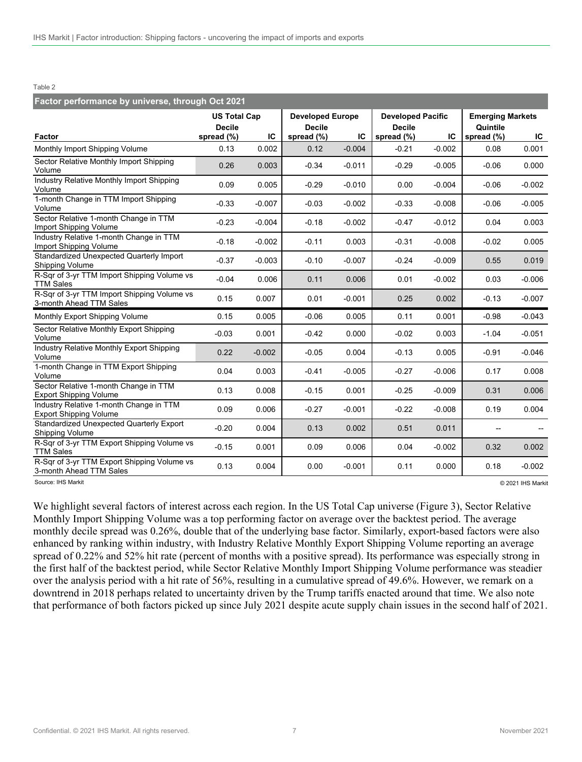#### Table 2

| Factor performance by universe, through Oct 2021                         |                                      |          |                                          |          |               |                          |            |                         |  |  |
|--------------------------------------------------------------------------|--------------------------------------|----------|------------------------------------------|----------|---------------|--------------------------|------------|-------------------------|--|--|
|                                                                          | <b>US Total Cap</b><br><b>Decile</b> |          | <b>Developed Europe</b><br><b>Decile</b> |          | <b>Decile</b> | <b>Developed Pacific</b> |            | <b>Emerging Markets</b> |  |  |
| Factor                                                                   | spread (%)                           | IC       | spread (%)                               | IC       | spread (%)    | IC                       | spread (%) | IC.                     |  |  |
| Monthly Import Shipping Volume                                           | 0.13                                 | 0.002    | 0.12                                     | $-0.004$ | $-0.21$       | $-0.002$                 | 0.08       | 0.001                   |  |  |
| Sector Relative Monthly Import Shipping<br>Volume                        | 0.26                                 | 0.003    | $-0.34$                                  | $-0.011$ | $-0.29$       | $-0.005$                 | $-0.06$    | 0.000                   |  |  |
| Industry Relative Monthly Import Shipping<br>Volume                      | 0.09                                 | 0.005    | $-0.29$                                  | $-0.010$ | 0.00          | $-0.004$                 | $-0.06$    | $-0.002$                |  |  |
| 1-month Change in TTM Import Shipping<br>Volume                          | $-0.33$                              | $-0.007$ | $-0.03$                                  | $-0.002$ | $-0.33$       | $-0.008$                 | $-0.06$    | $-0.005$                |  |  |
| Sector Relative 1-month Change in TTM<br>Import Shipping Volume          | $-0.23$                              | $-0.004$ | $-0.18$                                  | $-0.002$ | $-0.47$       | $-0.012$                 | 0.04       | 0.003                   |  |  |
| Industry Relative 1-month Change in TTM<br>Import Shipping Volume        | $-0.18$                              | $-0.002$ | $-0.11$                                  | 0.003    | $-0.31$       | $-0.008$                 | $-0.02$    | 0.005                   |  |  |
| Standardized Unexpected Quarterly Import<br>Shipping Volume              | $-0.37$                              | $-0.003$ | $-0.10$                                  | $-0.007$ | $-0.24$       | $-0.009$                 | 0.55       | 0.019                   |  |  |
| R-Sqr of 3-yr TTM Import Shipping Volume vs<br><b>TTM Sales</b>          | $-0.04$                              | 0.006    | 0.11                                     | 0.006    | 0.01          | $-0.002$                 | 0.03       | $-0.006$                |  |  |
| R-Sqr of 3-yr TTM Import Shipping Volume vs<br>3-month Ahead TTM Sales   | 0.15                                 | 0.007    | 0.01                                     | $-0.001$ | 0.25          | 0.002                    | $-0.13$    | $-0.007$                |  |  |
| Monthly Export Shipping Volume                                           | 0.15                                 | 0.005    | $-0.06$                                  | 0.005    | 0.11          | 0.001                    | $-0.98$    | $-0.043$                |  |  |
| Sector Relative Monthly Export Shipping<br>Volume                        | $-0.03$                              | 0.001    | $-0.42$                                  | 0.000    | $-0.02$       | 0.003                    | $-1.04$    | $-0.051$                |  |  |
| <b>Industry Relative Monthly Export Shipping</b><br>Volume               | 0.22                                 | $-0.002$ | $-0.05$                                  | 0.004    | $-0.13$       | 0.005                    | $-0.91$    | $-0.046$                |  |  |
| 1-month Change in TTM Export Shipping<br>Volume                          | 0.04                                 | 0.003    | $-0.41$                                  | $-0.005$ | $-0.27$       | $-0.006$                 | 0.17       | 0.008                   |  |  |
| Sector Relative 1-month Change in TTM<br><b>Export Shipping Volume</b>   | 0.13                                 | 0.008    | $-0.15$                                  | 0.001    | $-0.25$       | $-0.009$                 | 0.31       | 0.006                   |  |  |
| Industry Relative 1-month Change in TTM<br><b>Export Shipping Volume</b> | 0.09                                 | 0.006    | $-0.27$                                  | $-0.001$ | $-0.22$       | $-0.008$                 | 0.19       | 0.004                   |  |  |
| Standardized Unexpected Quarterly Export<br><b>Shipping Volume</b>       | $-0.20$                              | 0.004    | 0.13                                     | 0.002    | 0.51          | 0.011                    |            |                         |  |  |
| R-Sqr of 3-yr TTM Export Shipping Volume vs<br><b>TTM Sales</b>          | $-0.15$                              | 0.001    | 0.09                                     | 0.006    | 0.04          | $-0.002$                 | 0.32       | 0.002                   |  |  |
| R-Sqr of 3-yr TTM Export Shipping Volume vs<br>3-month Ahead TTM Sales   | 0.13                                 | 0.004    | 0.00                                     | $-0.001$ | 0.11          | 0.000                    | 0.18       | $-0.002$                |  |  |

Source: IHS Markit © 2021 IHS Markit

We highlight several factors of interest across each region. In the US Total Cap universe (Figure 3), Sector Relative Monthly Import Shipping Volume was a top performing factor on average over the backtest period. The average monthly decile spread was 0.26%, double that of the underlying base factor. Similarly, export-based factors were also enhanced by ranking within industry, with Industry Relative Monthly Export Shipping Volume reporting an average spread of 0.22% and 52% hit rate (percent of months with a positive spread). Its performance was especially strong in the first half of the backtest period, while Sector Relative Monthly Import Shipping Volume performance was steadier over the analysis period with a hit rate of 56%, resulting in a cumulative spread of 49.6%. However, we remark on a downtrend in 2018 perhaps related to uncertainty driven by the Trump tariffs enacted around that time. We also note that performance of both factors picked up since July 2021 despite acute supply chain issues in the second half of 2021.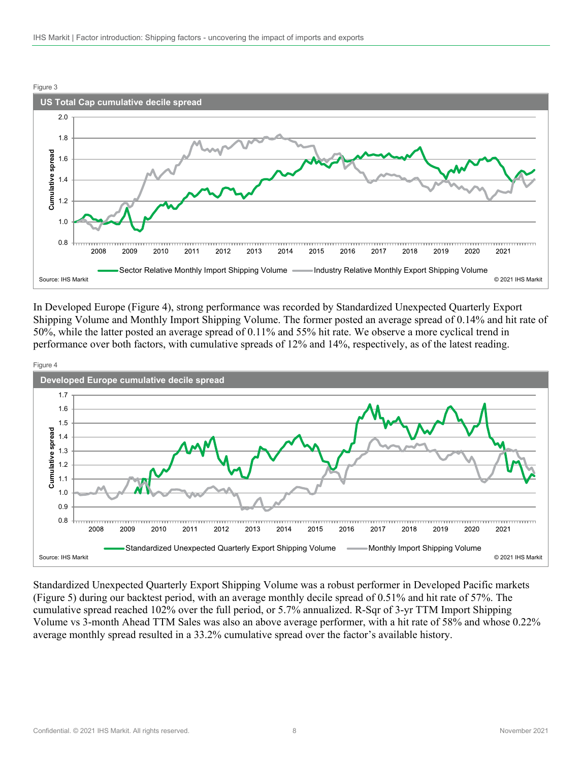

In Developed Europe (Figure 4), strong performance was recorded by Standardized Unexpected Quarterly Export Shipping Volume and Monthly Import Shipping Volume. The former posted an average spread of 0.14% and hit rate of 50%, while the latter posted an average spread of 0.11% and 55% hit rate. We observe a more cyclical trend in performance over both factors, with cumulative spreads of 12% and 14%, respectively, as of the latest reading.



Standardized Unexpected Quarterly Export Shipping Volume was a robust performer in Developed Pacific markets (Figure 5) during our backtest period, with an average monthly decile spread of 0.51% and hit rate of 57%. The cumulative spread reached 102% over the full period, or 5.7% annualized. R-Sqr of 3-yr TTM Import Shipping Volume vs 3-month Ahead TTM Sales was also an above average performer, with a hit rate of 58% and whose 0.22% average monthly spread resulted in a 33.2% cumulative spread over the factor's available history.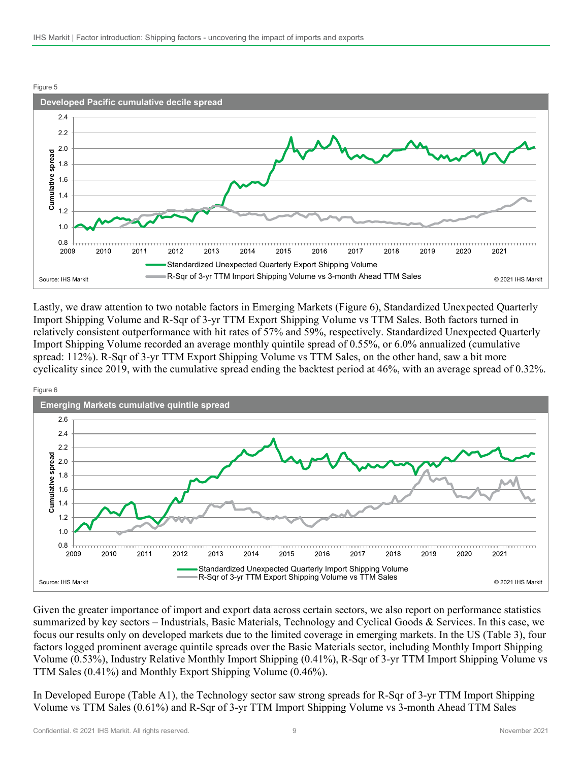

Lastly, we draw attention to two notable factors in Emerging Markets (Figure 6), Standardized Unexpected Quarterly Import Shipping Volume and R-Sqr of 3-yr TTM Export Shipping Volume vs TTM Sales. Both factors turned in relatively consistent outperformance with hit rates of 57% and 59%, respectively. Standardized Unexpected Quarterly Import Shipping Volume recorded an average monthly quintile spread of 0.55%, or 6.0% annualized (cumulative spread: 112%). R-Sqr of 3-yr TTM Export Shipping Volume vs TTM Sales, on the other hand, saw a bit more cyclicality since 2019, with the cumulative spread ending the backtest period at 46%, with an average spread of 0.32%.



Given the greater importance of import and export data across certain sectors, we also report on performance statistics summarized by key sectors – Industrials, Basic Materials, Technology and Cyclical Goods & Services. In this case, we focus our results only on developed markets due to the limited coverage in emerging markets. In the US (Table 3), four factors logged prominent average quintile spreads over the Basic Materials sector, including Monthly Import Shipping Volume (0.53%), Industry Relative Monthly Import Shipping (0.41%), R-Sqr of 3-yr TTM Import Shipping Volume vs TTM Sales (0.41%) and Monthly Export Shipping Volume (0.46%).

In Developed Europe (Table A1), the Technology sector saw strong spreads for R-Sqr of 3-yr TTM Import Shipping Volume vs TTM Sales (0.61%) and R-Sqr of 3-yr TTM Import Shipping Volume vs 3-month Ahead TTM Sales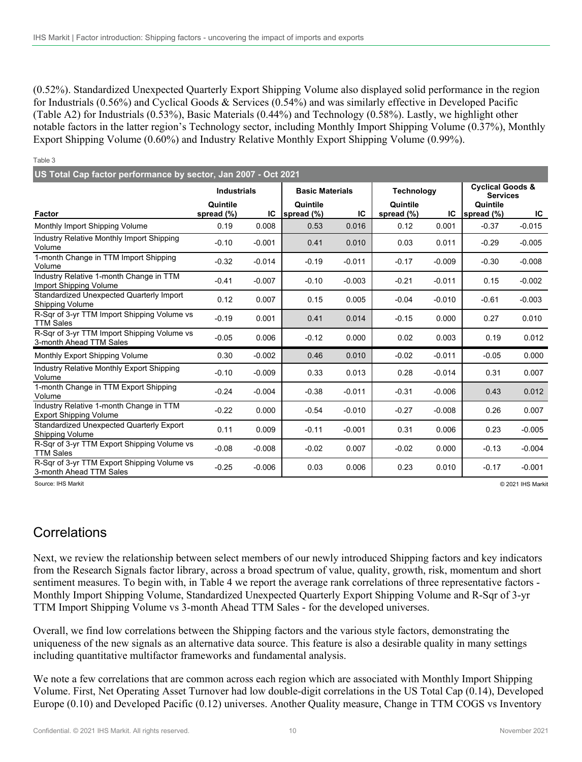(0.52%). Standardized Unexpected Quarterly Export Shipping Volume also displayed solid performance in the region for Industrials (0.56%) and Cyclical Goods & Services (0.54%) and was similarly effective in Developed Pacific (Table A2) for Industrials (0.53%), Basic Materials (0.44%) and Technology (0.58%). Lastly, we highlight other notable factors in the latter region's Technology sector, including Monthly Import Shipping Volume (0.37%), Monthly Export Shipping Volume (0.60%) and Industry Relative Monthly Export Shipping Volume (0.99%).

#### Table 3 **Contract Contract**

| US Total Cap factor performance by sector, Jan 2007 - Oct 2021           |                        |          |                        |          |                           |          |                                                |          |  |  |  |
|--------------------------------------------------------------------------|------------------------|----------|------------------------|----------|---------------------------|----------|------------------------------------------------|----------|--|--|--|
|                                                                          | <b>Industrials</b>     |          | <b>Basic Materials</b> |          | <b>Technology</b>         |          | <b>Cyclical Goods &amp;</b><br><b>Services</b> |          |  |  |  |
| Factor                                                                   | Quintile<br>spread (%) | IC       | Quintile<br>spread (%) | IC       | Quintile<br>spread $(\%)$ | IC       | Quintile<br>spread (%)                         | IC       |  |  |  |
| Monthly Import Shipping Volume                                           | 0.19                   | 0.008    | 0.53                   | 0.016    | 0.12                      | 0.001    | $-0.37$                                        | $-0.015$ |  |  |  |
| Industry Relative Monthly Import Shipping<br>Volume                      | $-0.10$                | $-0.001$ | 0.41                   | 0.010    | 0.03                      | 0.011    | $-0.29$                                        | $-0.005$ |  |  |  |
| 1-month Change in TTM Import Shipping<br>Volume                          | $-0.32$                | $-0.014$ | $-0.19$                | $-0.011$ | $-0.17$                   | $-0.009$ | $-0.30$                                        | $-0.008$ |  |  |  |
| Industry Relative 1-month Change in TTM<br>Import Shipping Volume        | $-0.41$                | $-0.007$ | $-0.10$                | $-0.003$ | $-0.21$                   | $-0.011$ | 0.15                                           | $-0.002$ |  |  |  |
| Standardized Unexpected Quarterly Import<br>Shipping Volume              | 0.12                   | 0.007    | 0.15                   | 0.005    | $-0.04$                   | $-0.010$ | $-0.61$                                        | $-0.003$ |  |  |  |
| R-Sqr of 3-yr TTM Import Shipping Volume vs<br><b>TTM Sales</b>          | $-0.19$                | 0.001    | 0.41                   | 0.014    | $-0.15$                   | 0.000    | 0.27                                           | 0.010    |  |  |  |
| R-Sqr of 3-yr TTM Import Shipping Volume vs<br>3-month Ahead TTM Sales   | $-0.05$                | 0.006    | $-0.12$                | 0.000    | 0.02                      | 0.003    | 0.19                                           | 0.012    |  |  |  |
| Monthly Export Shipping Volume                                           | 0.30                   | $-0.002$ | 0.46                   | 0.010    | $-0.02$                   | $-0.011$ | $-0.05$                                        | 0.000    |  |  |  |
| Industry Relative Monthly Export Shipping<br>Volume                      | $-0.10$                | $-0.009$ | 0.33                   | 0.013    | 0.28                      | $-0.014$ | 0.31                                           | 0.007    |  |  |  |
| 1-month Change in TTM Export Shipping<br>Volume                          | $-0.24$                | $-0.004$ | $-0.38$                | $-0.011$ | $-0.31$                   | $-0.006$ | 0.43                                           | 0.012    |  |  |  |
| Industry Relative 1-month Change in TTM<br><b>Export Shipping Volume</b> | $-0.22$                | 0.000    | $-0.54$                | $-0.010$ | $-0.27$                   | $-0.008$ | 0.26                                           | 0.007    |  |  |  |
| Standardized Unexpected Quarterly Export<br>Shipping Volume              | 0.11                   | 0.009    | $-0.11$                | $-0.001$ | 0.31                      | 0.006    | 0.23                                           | $-0.005$ |  |  |  |
| R-Sqr of 3-yr TTM Export Shipping Volume vs<br><b>TTM Sales</b>          | $-0.08$                | $-0.008$ | $-0.02$                | 0.007    | $-0.02$                   | 0.000    | $-0.13$                                        | $-0.004$ |  |  |  |
| R-Sqr of 3-yr TTM Export Shipping Volume vs<br>3-month Ahead TTM Sales   | $-0.25$                | $-0.006$ | 0.03                   | 0.006    | 0.23                      | 0.010    | $-0.17$                                        | $-0.001$ |  |  |  |

Source: IHS Markit © 2021 IHS Markit

### **Correlations**

Next, we review the relationship between select members of our newly introduced Shipping factors and key indicators from the Research Signals factor library, across a broad spectrum of value, quality, growth, risk, momentum and short sentiment measures. To begin with, in Table 4 we report the average rank correlations of three representative factors - Monthly Import Shipping Volume, Standardized Unexpected Quarterly Export Shipping Volume and R-Sqr of 3-yr TTM Import Shipping Volume vs 3-month Ahead TTM Sales - for the developed universes.

Overall, we find low correlations between the Shipping factors and the various style factors, demonstrating the uniqueness of the new signals as an alternative data source. This feature is also a desirable quality in many settings including quantitative multifactor frameworks and fundamental analysis.

We note a few correlations that are common across each region which are associated with Monthly Import Shipping Volume. First, Net Operating Asset Turnover had low double-digit correlations in the US Total Cap (0.14), Developed Europe (0.10) and Developed Pacific (0.12) universes. Another Quality measure, Change in TTM COGS vs Inventory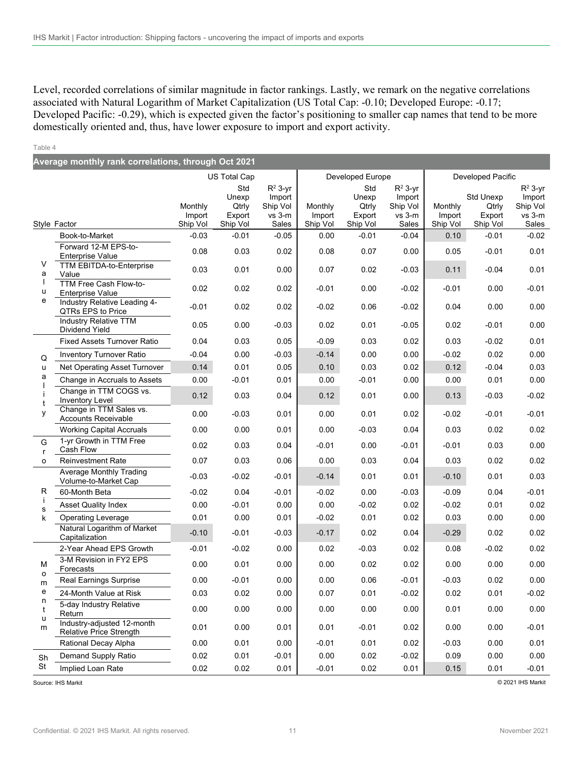Level, recorded correlations of similar magnitude in factor rankings. Lastly, we remark on the negative correlations associated with Natural Logarithm of Market Capitalization (US Total Cap: -0.10; Developed Europe: -0.17; Developed Pacific: -0.29), which is expected given the factor's positioning to smaller cap names that tend to be more domestically oriented and, thus, have lower exposure to import and export activity.

#### Table 4

| Average monthly rank correlations, through Oct 2021 |                                                                            |                               |                                             |                                                          |                               |                                             |                                                          |                               |                                                 |                                                          |
|-----------------------------------------------------|----------------------------------------------------------------------------|-------------------------------|---------------------------------------------|----------------------------------------------------------|-------------------------------|---------------------------------------------|----------------------------------------------------------|-------------------------------|-------------------------------------------------|----------------------------------------------------------|
|                                                     |                                                                            |                               | US Total Cap                                |                                                          |                               | Developed Europe                            |                                                          |                               | Developed Pacific                               |                                                          |
|                                                     | Style Factor                                                               | Monthly<br>Import<br>Ship Vol | Std<br>Unexp<br>Qtrly<br>Export<br>Ship Vol | $R^2$ 3-yr<br>Import<br>Ship Vol<br>$vs$ 3- $m$<br>Sales | Monthly<br>Import<br>Ship Vol | Std<br>Unexp<br>Qtrly<br>Export<br>Ship Vol | $R^2$ 3-yr<br>Import<br>Ship Vol<br>$vs$ 3- $m$<br>Sales | Monthly<br>Import<br>Ship Vol | <b>Std Unexp</b><br>Qtrly<br>Export<br>Ship Vol | $R^2$ 3-yr<br>Import<br>Ship Vol<br>$vs$ 3- $m$<br>Sales |
|                                                     | Book-to-Market                                                             | $-0.03$                       | $-0.01$                                     | $-0.05$                                                  | 0.00                          | $-0.01$                                     | $-0.04$                                                  | 0.10                          | $-0.01$                                         | $-0.02$                                                  |
|                                                     | Forward 12-M EPS-to-<br><b>Enterprise Value</b>                            | 0.08                          | 0.03                                        | 0.02                                                     | 0.08                          | 0.07                                        | 0.00                                                     | 0.05                          | $-0.01$                                         | 0.01                                                     |
| V<br>a<br>ı                                         | TTM EBITDA-to-Enterprise<br>Value                                          | 0.03                          | 0.01                                        | 0.00                                                     | 0.07                          | 0.02                                        | $-0.03$                                                  | 0.11                          | $-0.04$                                         | 0.01                                                     |
| u<br>e                                              | TTM Free Cash Flow-to-<br><b>Enterprise Value</b>                          | 0.02                          | 0.02                                        | 0.02                                                     | $-0.01$                       | 0.00                                        | $-0.02$                                                  | $-0.01$                       | 0.00                                            | $-0.01$                                                  |
|                                                     | Industry Relative Leading 4-<br>QTRs EPS to Price<br>Industry Relative TTM | $-0.01$                       | 0.02                                        | 0.02                                                     | $-0.02$                       | 0.06                                        | $-0.02$                                                  | 0.04                          | 0.00                                            | 0.00                                                     |
|                                                     | Dividend Yield                                                             | 0.05                          | 0.00                                        | $-0.03$                                                  | 0.02                          | 0.01                                        | $-0.05$                                                  | 0.02                          | $-0.01$                                         | 0.00                                                     |
| Q<br>u                                              | <b>Fixed Assets Turnover Ratio</b>                                         | 0.04                          | 0.03                                        | 0.05                                                     | $-0.09$                       | 0.03                                        | 0.02                                                     | 0.03                          | $-0.02$                                         | 0.01                                                     |
|                                                     | Inventory Turnover Ratio                                                   | $-0.04$                       | 0.00                                        | $-0.03$                                                  | $-0.14$                       | 0.00                                        | 0.00                                                     | $-0.02$                       | 0.02                                            | 0.00                                                     |
|                                                     | Net Operating Asset Turnover                                               | 0.14                          | 0.01                                        | 0.05                                                     | 0.10                          | 0.03                                        | 0.02                                                     | 0.12                          | $-0.04$                                         | 0.03                                                     |
| a                                                   | Change in Accruals to Assets                                               | 0.00                          | $-0.01$                                     | 0.01                                                     | 0.00                          | $-0.01$                                     | 0.00                                                     | 0.00                          | 0.01                                            | 0.00                                                     |
|                                                     | Change in TTM COGS vs.<br>Inventory Level                                  | 0.12                          | 0.03                                        | 0.04                                                     | 0.12                          | 0.01                                        | 0.00                                                     | 0.13                          | $-0.03$                                         | $-0.02$                                                  |
| y                                                   | Change in TTM Sales vs.<br>Accounts Receivable                             | 0.00                          | $-0.03$                                     | 0.01                                                     | 0.00                          | 0.01                                        | 0.02                                                     | $-0.02$                       | $-0.01$                                         | $-0.01$                                                  |
|                                                     | <b>Working Capital Accruals</b>                                            | 0.00                          | 0.00                                        | 0.01                                                     | 0.00                          | $-0.03$                                     | 0.04                                                     | 0.03                          | 0.02                                            | 0.02                                                     |
| G<br>r                                              | 1-vr Growth in TTM Free<br>Cash Flow                                       | 0.02                          | 0.03                                        | 0.04                                                     | $-0.01$                       | 0.00                                        | $-0.01$                                                  | $-0.01$                       | 0.03                                            | 0.00                                                     |
| o                                                   | <b>Reinvestment Rate</b>                                                   | 0.07                          | 0.03                                        | 0.06                                                     | 0.00                          | 0.03                                        | 0.04                                                     | 0.03                          | 0.02                                            | 0.02                                                     |
|                                                     | Average Monthly Trading<br>Volume-to-Market Cap                            | $-0.03$                       | $-0.02$                                     | $-0.01$                                                  | $-0.14$                       | 0.01                                        | 0.01                                                     | $-0.10$                       | 0.01                                            | 0.03                                                     |
| R                                                   | 60-Month Beta                                                              | $-0.02$                       | 0.04                                        | $-0.01$                                                  | $-0.02$                       | 0.00                                        | $-0.03$                                                  | $-0.09$                       | 0.04                                            | $-0.01$                                                  |
| s                                                   | <b>Asset Quality Index</b>                                                 | 0.00                          | $-0.01$                                     | 0.00                                                     | 0.00                          | $-0.02$                                     | 0.02                                                     | $-0.02$                       | 0.01                                            | 0.02                                                     |
| k                                                   | <b>Operating Leverage</b><br>Natural Logarithm of Market                   | 0.01<br>$-0.10$               | 0.00<br>$-0.01$                             | 0.01<br>$-0.03$                                          | $-0.02$<br>$-0.17$            | 0.01<br>0.02                                | 0.02<br>0.04                                             | 0.03<br>$-0.29$               | 0.00<br>0.02                                    | 0.00<br>0.02                                             |
|                                                     | Capitalization<br>2-Year Ahead EPS Growth                                  | $-0.01$                       | $-0.02$                                     | 0.00                                                     | 0.02                          | $-0.03$                                     | 0.02                                                     | 0.08                          | $-0.02$                                         | 0.02                                                     |
| M                                                   | 3-M Revision in FY2 EPS<br>Forecasts                                       | 0.00                          | 0.01                                        | 0.00                                                     | 0.00                          | 0.02                                        | 0.02                                                     | 0.00                          | 0.00                                            | 0.00                                                     |
| o<br>m                                              | Real Earnings Surprise                                                     | 0.00                          | $-0.01$                                     | 0.00                                                     | 0.00                          | 0.06                                        | $-0.01$                                                  | $-0.03$                       | 0.02                                            | 0.00                                                     |
| е                                                   | 24-Month Value at Risk                                                     | 0.03                          | 0.02                                        | 0.00                                                     | 0.07                          | 0.01                                        | $-0.02$                                                  | 0.02                          | 0.01                                            | $-0.02$                                                  |
| n<br>t                                              | 5-day Industry Relative<br>Return                                          | 0.00                          | 0.00                                        | 0.00                                                     | 0.00                          | 0.00                                        | 0.00                                                     | 0.01                          | 0.00                                            | 0.00                                                     |
| u<br>m                                              | Industry-adjusted 12-month<br><b>Relative Price Strength</b>               | 0.01                          | 0.00                                        | 0.01                                                     | 0.01                          | $-0.01$                                     | 0.02                                                     | 0.00                          | 0.00                                            | $-0.01$                                                  |
|                                                     | Rational Decay Alpha                                                       | 0.00                          | 0.01                                        | 0.00                                                     | $-0.01$                       | 0.01                                        | 0.02                                                     | $-0.03$                       | 0.00                                            | 0.01                                                     |
| Sh                                                  | Demand Supply Ratio                                                        | 0.02                          | 0.01                                        | $-0.01$                                                  | 0.00                          | 0.02                                        | $-0.02$                                                  | 0.09                          | 0.00                                            | 0.00                                                     |
| St                                                  | Implied Loan Rate                                                          | 0.02                          | 0.02                                        | 0.01                                                     | $-0.01$                       | 0.02                                        | 0.01                                                     | 0.15                          | 0.01                                            | $-0.01$                                                  |

Source: IHS Markit © 2021 IHS Markit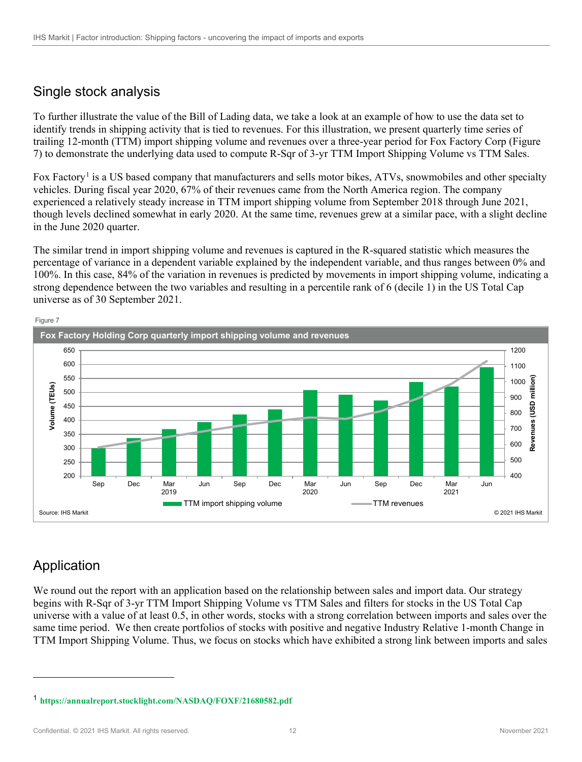# Single stock analysis

To further illustrate the value of the Bill of Lading data, we take a look at an example of how to use the data set to identify trends in shipping activity that is tied to revenues. For this illustration, we present quarterly time series of trailing 12-month (TTM) import shipping volume and revenues over a three-year period for Fox Factory Corp (Figure 7) to demonstrate the underlying data used to compute R-Sqr of 3-yr TTM Import Shipping Volume vs TTM Sales.

Fox Factory<sup>[1](#page-11-0)</sup> is a US based company that manufacturers and sells motor bikes, ATVs, snowmobiles and other specialty vehicles. During fiscal year 2020, 67% of their revenues came from the North America region. The company experienced a relatively steady increase in TTM import shipping volume from September 2018 through June 2021, though levels declined somewhat in early 2020. At the same time, revenues grew at a similar pace, with a slight decline in the June 2020 quarter.

The similar trend in import shipping volume and revenues is captured in the R-squared statistic which measures the percentage of variance in a dependent variable explained by the independent variable, and thus ranges between 0% and 100%. In this case, 84% of the variation in revenues is predicted by movements in import shipping volume, indicating a strong dependence between the two variables and resulting in a percentile rank of 6 (decile 1) in the US Total Cap universe as of 30 September 2021.



# Application

We round out the report with an application based on the relationship between sales and import data. Our strategy begins with R-Sqr of 3-yr TTM Import Shipping Volume vs TTM Sales and filters for stocks in the US Total Cap universe with a value of at least 0.5, in other words, stocks with a strong correlation between imports and sales over the same time period. We then create portfolios of stocks with positive and negative Industry Relative 1-month Change in TTM Import Shipping Volume. Thus, we focus on stocks which have exhibited a strong link between imports and sales

Confidential. © 2021 IHS Markit. All rights reserved. 12 November 2021 11 November 2021

<span id="page-11-0"></span><sup>1</sup> **<https://annualreport.stocklight.com/NASDAQ/FOXF/21680582.pdf>**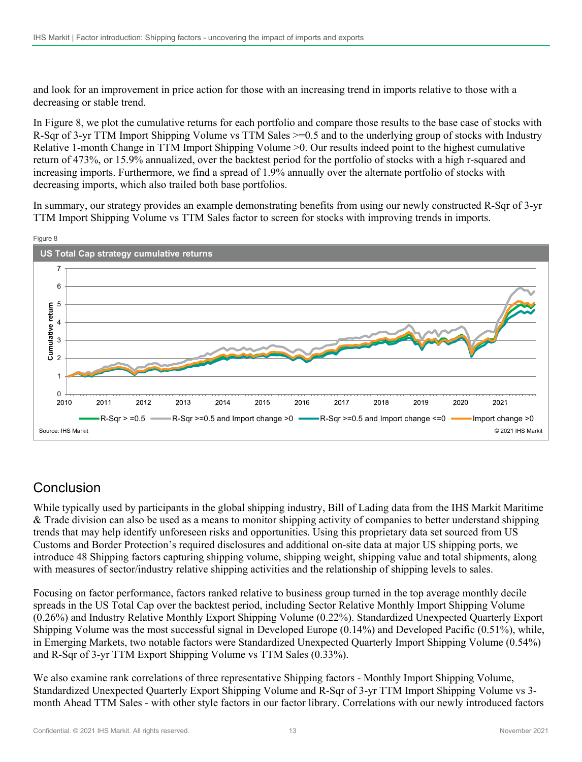and look for an improvement in price action for those with an increasing trend in imports relative to those with a decreasing or stable trend.

In Figure 8, we plot the cumulative returns for each portfolio and compare those results to the base case of stocks with R-Sqr of 3-yr TTM Import Shipping Volume vs TTM Sales >=0.5 and to the underlying group of stocks with Industry Relative 1-month Change in TTM Import Shipping Volume >0. Our results indeed point to the highest cumulative return of 473%, or 15.9% annualized, over the backtest period for the portfolio of stocks with a high r-squared and increasing imports. Furthermore, we find a spread of 1.9% annually over the alternate portfolio of stocks with decreasing imports, which also trailed both base portfolios.

In summary, our strategy provides an example demonstrating benefits from using our newly constructed R-Sqr of 3-yr TTM Import Shipping Volume vs TTM Sales factor to screen for stocks with improving trends in imports.



# Conclusion

While typically used by participants in the global shipping industry, Bill of Lading data from the IHS Markit Maritime & Trade division can also be used as a means to monitor shipping activity of companies to better understand shipping trends that may help identify unforeseen risks and opportunities. Using this proprietary data set sourced from US Customs and Border Protection's required disclosures and additional on-site data at major US shipping ports, we introduce 48 Shipping factors capturing shipping volume, shipping weight, shipping value and total shipments, along with measures of sector/industry relative shipping activities and the relationship of shipping levels to sales.

Focusing on factor performance, factors ranked relative to business group turned in the top average monthly decile spreads in the US Total Cap over the backtest period, including Sector Relative Monthly Import Shipping Volume (0.26%) and Industry Relative Monthly Export Shipping Volume (0.22%). Standardized Unexpected Quarterly Export Shipping Volume was the most successful signal in Developed Europe (0.14%) and Developed Pacific (0.51%), while, in Emerging Markets, two notable factors were Standardized Unexpected Quarterly Import Shipping Volume (0.54%) and R-Sqr of 3-yr TTM Export Shipping Volume vs TTM Sales (0.33%).

We also examine rank correlations of three representative Shipping factors - Monthly Import Shipping Volume, Standardized Unexpected Quarterly Export Shipping Volume and R-Sqr of 3-yr TTM Import Shipping Volume vs 3 month Ahead TTM Sales - with other style factors in our factor library. Correlations with our newly introduced factors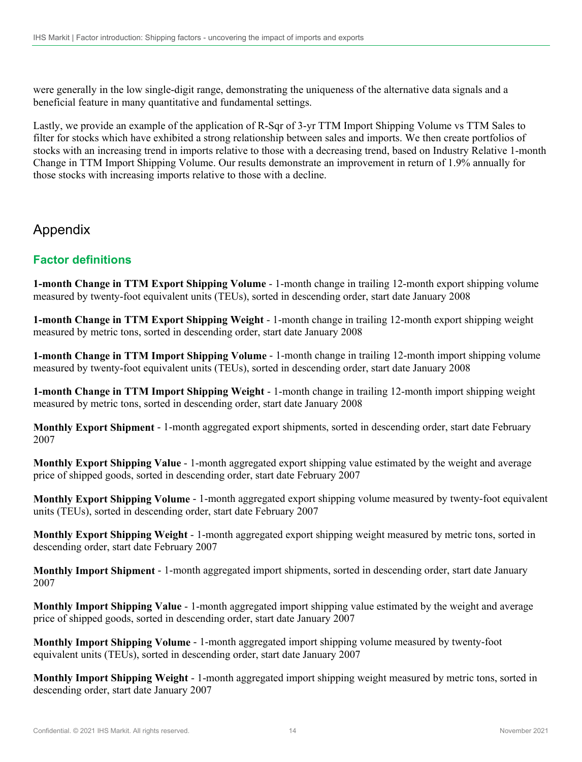were generally in the low single-digit range, demonstrating the uniqueness of the alternative data signals and a beneficial feature in many quantitative and fundamental settings.

Lastly, we provide an example of the application of R-Sqr of 3-yr TTM Import Shipping Volume vs TTM Sales to filter for stocks which have exhibited a strong relationship between sales and imports. We then create portfolios of stocks with an increasing trend in imports relative to those with a decreasing trend, based on Industry Relative 1-month Change in TTM Import Shipping Volume. Our results demonstrate an improvement in return of 1.9% annually for those stocks with increasing imports relative to those with a decline.

### Appendix

### **Factor definitions**

**1-month Change in TTM Export Shipping Volume** - 1-month change in trailing 12-month export shipping volume measured by twenty-foot equivalent units (TEUs), sorted in descending order, start date January 2008

**1-month Change in TTM Export Shipping Weight** - 1-month change in trailing 12-month export shipping weight measured by metric tons, sorted in descending order, start date January 2008

**1-month Change in TTM Import Shipping Volume** - 1-month change in trailing 12-month import shipping volume measured by twenty-foot equivalent units (TEUs), sorted in descending order, start date January 2008

**1-month Change in TTM Import Shipping Weight** - 1-month change in trailing 12-month import shipping weight measured by metric tons, sorted in descending order, start date January 2008

**Monthly Export Shipment** - 1-month aggregated export shipments, sorted in descending order, start date February 2007

**Monthly Export Shipping Value** - 1-month aggregated export shipping value estimated by the weight and average price of shipped goods, sorted in descending order, start date February 2007

**Monthly Export Shipping Volume** - 1-month aggregated export shipping volume measured by twenty-foot equivalent units (TEUs), sorted in descending order, start date February 2007

**Monthly Export Shipping Weight** - 1-month aggregated export shipping weight measured by metric tons, sorted in descending order, start date February 2007

**Monthly Import Shipment** - 1-month aggregated import shipments, sorted in descending order, start date January 2007

**Monthly Import Shipping Value** - 1-month aggregated import shipping value estimated by the weight and average price of shipped goods, sorted in descending order, start date January 2007

**Monthly Import Shipping Volume** - 1-month aggregated import shipping volume measured by twenty-foot equivalent units (TEUs), sorted in descending order, start date January 2007

**Monthly Import Shipping Weight** - 1-month aggregated import shipping weight measured by metric tons, sorted in descending order, start date January 2007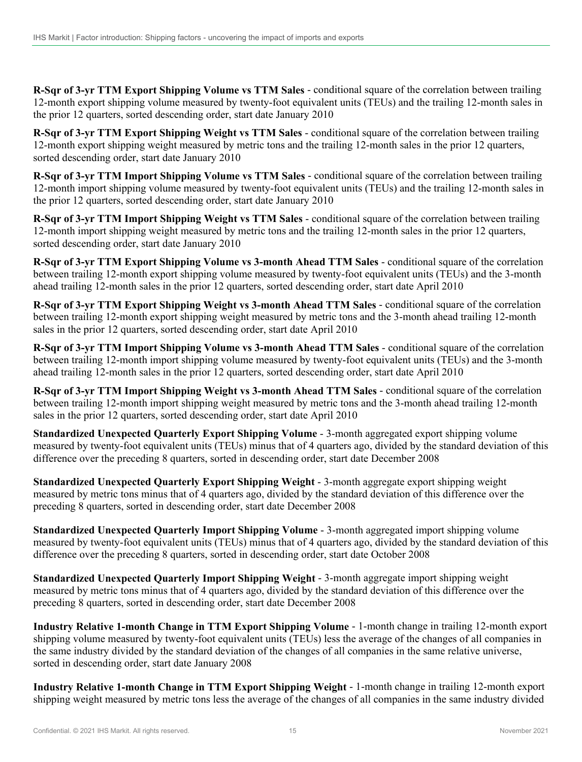**R-Sqr of 3-yr TTM Export Shipping Volume vs TTM Sales** - conditional square of the correlation between trailing 12-month export shipping volume measured by twenty-foot equivalent units (TEUs) and the trailing 12-month sales in the prior 12 quarters, sorted descending order, start date January 2010

**R-Sqr of 3-yr TTM Export Shipping Weight vs TTM Sales** - conditional square of the correlation between trailing 12-month export shipping weight measured by metric tons and the trailing 12-month sales in the prior 12 quarters, sorted descending order, start date January 2010

**R-Sqr of 3-yr TTM Import Shipping Volume vs TTM Sales** - conditional square of the correlation between trailing 12-month import shipping volume measured by twenty-foot equivalent units (TEUs) and the trailing 12-month sales in the prior 12 quarters, sorted descending order, start date January 2010

**R-Sqr of 3-yr TTM Import Shipping Weight vs TTM Sales** - conditional square of the correlation between trailing 12-month import shipping weight measured by metric tons and the trailing 12-month sales in the prior 12 quarters, sorted descending order, start date January 2010

**R-Sqr of 3-yr TTM Export Shipping Volume vs 3-month Ahead TTM Sales** - conditional square of the correlation between trailing 12-month export shipping volume measured by twenty-foot equivalent units (TEUs) and the 3-month ahead trailing 12-month sales in the prior 12 quarters, sorted descending order, start date April 2010

**R-Sqr of 3-yr TTM Export Shipping Weight vs 3-month Ahead TTM Sales** - conditional square of the correlation between trailing 12-month export shipping weight measured by metric tons and the 3-month ahead trailing 12-month sales in the prior 12 quarters, sorted descending order, start date April 2010

**R-Sqr of 3-yr TTM Import Shipping Volume vs 3-month Ahead TTM Sales** - conditional square of the correlation between trailing 12-month import shipping volume measured by twenty-foot equivalent units (TEUs) and the 3-month ahead trailing 12-month sales in the prior 12 quarters, sorted descending order, start date April 2010

**R-Sqr of 3-yr TTM Import Shipping Weight vs 3-month Ahead TTM Sales** - conditional square of the correlation between trailing 12-month import shipping weight measured by metric tons and the 3-month ahead trailing 12-month sales in the prior 12 quarters, sorted descending order, start date April 2010

**Standardized Unexpected Quarterly Export Shipping Volume** - 3-month aggregated export shipping volume measured by twenty-foot equivalent units (TEUs) minus that of 4 quarters ago, divided by the standard deviation of this difference over the preceding 8 quarters, sorted in descending order, start date December 2008

**Standardized Unexpected Quarterly Export Shipping Weight** - 3-month aggregate export shipping weight measured by metric tons minus that of 4 quarters ago, divided by the standard deviation of this difference over the preceding 8 quarters, sorted in descending order, start date December 2008

**Standardized Unexpected Quarterly Import Shipping Volume** - 3-month aggregated import shipping volume measured by twenty-foot equivalent units (TEUs) minus that of 4 quarters ago, divided by the standard deviation of this difference over the preceding 8 quarters, sorted in descending order, start date October 2008

**Standardized Unexpected Quarterly Import Shipping Weight** - 3-month aggregate import shipping weight measured by metric tons minus that of 4 quarters ago, divided by the standard deviation of this difference over the preceding 8 quarters, sorted in descending order, start date December 2008

**Industry Relative 1-month Change in TTM Export Shipping Volume** - 1-month change in trailing 12-month export shipping volume measured by twenty-foot equivalent units (TEUs) less the average of the changes of all companies in the same industry divided by the standard deviation of the changes of all companies in the same relative universe, sorted in descending order, start date January 2008

**Industry Relative 1-month Change in TTM Export Shipping Weight** - 1-month change in trailing 12-month export shipping weight measured by metric tons less the average of the changes of all companies in the same industry divided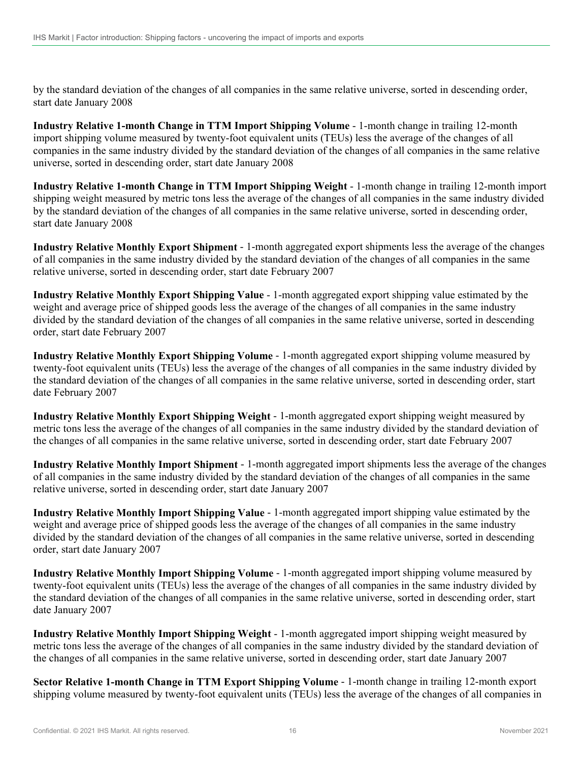by the standard deviation of the changes of all companies in the same relative universe, sorted in descending order, start date January 2008

**Industry Relative 1-month Change in TTM Import Shipping Volume** - 1-month change in trailing 12-month import shipping volume measured by twenty-foot equivalent units (TEUs) less the average of the changes of all companies in the same industry divided by the standard deviation of the changes of all companies in the same relative universe, sorted in descending order, start date January 2008

**Industry Relative 1-month Change in TTM Import Shipping Weight** - 1-month change in trailing 12-month import shipping weight measured by metric tons less the average of the changes of all companies in the same industry divided by the standard deviation of the changes of all companies in the same relative universe, sorted in descending order, start date January 2008

**Industry Relative Monthly Export Shipment** - 1-month aggregated export shipments less the average of the changes of all companies in the same industry divided by the standard deviation of the changes of all companies in the same relative universe, sorted in descending order, start date February 2007

**Industry Relative Monthly Export Shipping Value** - 1-month aggregated export shipping value estimated by the weight and average price of shipped goods less the average of the changes of all companies in the same industry divided by the standard deviation of the changes of all companies in the same relative universe, sorted in descending order, start date February 2007

**Industry Relative Monthly Export Shipping Volume** - 1-month aggregated export shipping volume measured by twenty-foot equivalent units (TEUs) less the average of the changes of all companies in the same industry divided by the standard deviation of the changes of all companies in the same relative universe, sorted in descending order, start date February 2007

**Industry Relative Monthly Export Shipping Weight** - 1-month aggregated export shipping weight measured by metric tons less the average of the changes of all companies in the same industry divided by the standard deviation of the changes of all companies in the same relative universe, sorted in descending order, start date February 2007

**Industry Relative Monthly Import Shipment** - 1-month aggregated import shipments less the average of the changes of all companies in the same industry divided by the standard deviation of the changes of all companies in the same relative universe, sorted in descending order, start date January 2007

**Industry Relative Monthly Import Shipping Value** - 1-month aggregated import shipping value estimated by the weight and average price of shipped goods less the average of the changes of all companies in the same industry divided by the standard deviation of the changes of all companies in the same relative universe, sorted in descending order, start date January 2007

**Industry Relative Monthly Import Shipping Volume** - 1-month aggregated import shipping volume measured by twenty-foot equivalent units (TEUs) less the average of the changes of all companies in the same industry divided by the standard deviation of the changes of all companies in the same relative universe, sorted in descending order, start date January 2007

**Industry Relative Monthly Import Shipping Weight** - 1-month aggregated import shipping weight measured by metric tons less the average of the changes of all companies in the same industry divided by the standard deviation of the changes of all companies in the same relative universe, sorted in descending order, start date January 2007

**Sector Relative 1-month Change in TTM Export Shipping Volume** - 1-month change in trailing 12-month export shipping volume measured by twenty-foot equivalent units (TEUs) less the average of the changes of all companies in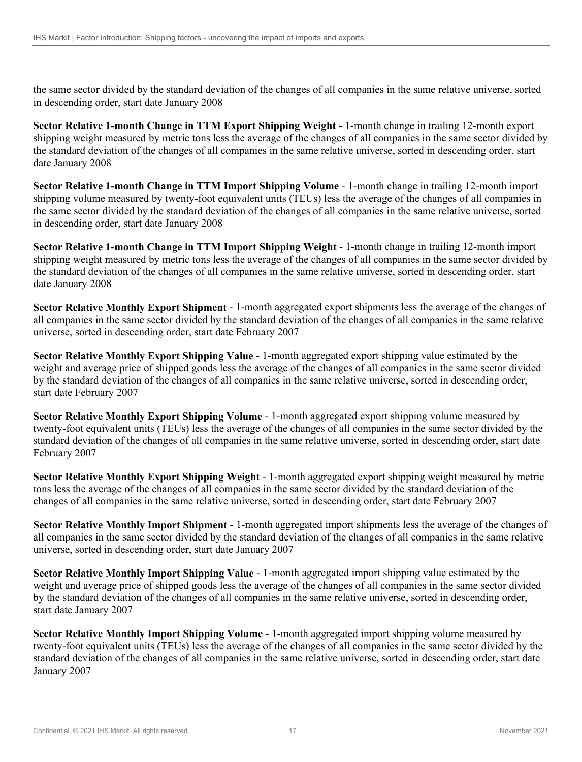the same sector divided by the standard deviation of the changes of all companies in the same relative universe, sorted in descending order, start date January 2008

**Sector Relative 1-month Change in TTM Export Shipping Weight** - 1-month change in trailing 12-month export shipping weight measured by metric tons less the average of the changes of all companies in the same sector divided by the standard deviation of the changes of all companies in the same relative universe, sorted in descending order, start date January 2008

**Sector Relative 1-month Change in TTM Import Shipping Volume** - 1-month change in trailing 12-month import shipping volume measured by twenty-foot equivalent units (TEUs) less the average of the changes of all companies in the same sector divided by the standard deviation of the changes of all companies in the same relative universe, sorted in descending order, start date January 2008

**Sector Relative 1-month Change in TTM Import Shipping Weight** - 1-month change in trailing 12-month import shipping weight measured by metric tons less the average of the changes of all companies in the same sector divided by the standard deviation of the changes of all companies in the same relative universe, sorted in descending order, start date January 2008

**Sector Relative Monthly Export Shipment** - 1-month aggregated export shipments less the average of the changes of all companies in the same sector divided by the standard deviation of the changes of all companies in the same relative universe, sorted in descending order, start date February 2007

**Sector Relative Monthly Export Shipping Value** - 1-month aggregated export shipping value estimated by the weight and average price of shipped goods less the average of the changes of all companies in the same sector divided by the standard deviation of the changes of all companies in the same relative universe, sorted in descending order, start date February 2007

**Sector Relative Monthly Export Shipping Volume** - 1-month aggregated export shipping volume measured by twenty-foot equivalent units (TEUs) less the average of the changes of all companies in the same sector divided by the standard deviation of the changes of all companies in the same relative universe, sorted in descending order, start date February 2007

**Sector Relative Monthly Export Shipping Weight** - 1-month aggregated export shipping weight measured by metric tons less the average of the changes of all companies in the same sector divided by the standard deviation of the changes of all companies in the same relative universe, sorted in descending order, start date February 2007

**Sector Relative Monthly Import Shipment** - 1-month aggregated import shipments less the average of the changes of all companies in the same sector divided by the standard deviation of the changes of all companies in the same relative universe, sorted in descending order, start date January 2007

**Sector Relative Monthly Import Shipping Value** - 1-month aggregated import shipping value estimated by the weight and average price of shipped goods less the average of the changes of all companies in the same sector divided by the standard deviation of the changes of all companies in the same relative universe, sorted in descending order, start date January 2007

**Sector Relative Monthly Import Shipping Volume** - 1-month aggregated import shipping volume measured by twenty-foot equivalent units (TEUs) less the average of the changes of all companies in the same sector divided by the standard deviation of the changes of all companies in the same relative universe, sorted in descending order, start date January 2007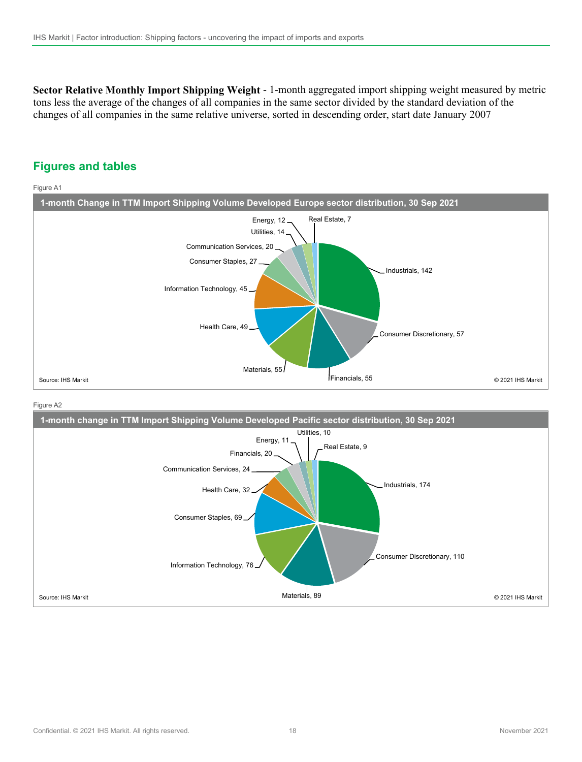**Sector Relative Monthly Import Shipping Weight** - 1-month aggregated import shipping weight measured by metric tons less the average of the changes of all companies in the same sector divided by the standard deviation of the changes of all companies in the same relative universe, sorted in descending order, start date January 2007

### **Figures and tables**

Figure A1



#### Figure A2

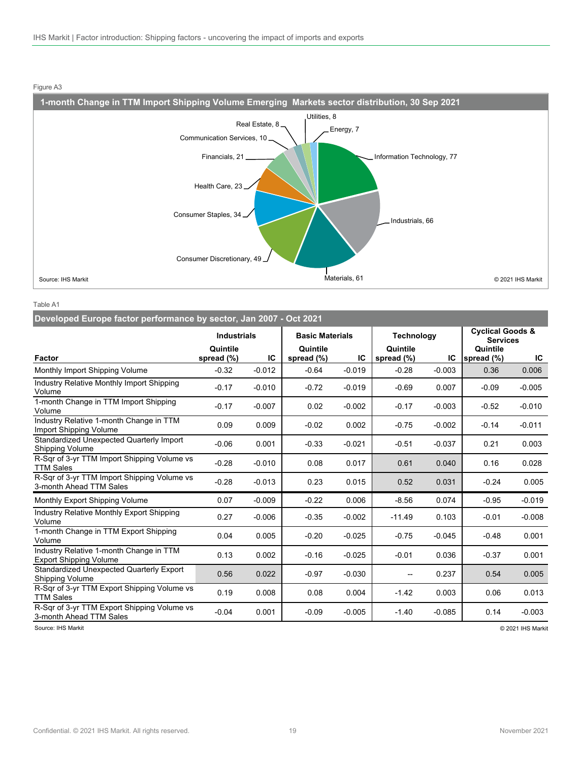

#### Figure A3

Table A1

| Fable A1                                                                 |                        |          |                        |          |                        |                   |                        |                                                |  |  |
|--------------------------------------------------------------------------|------------------------|----------|------------------------|----------|------------------------|-------------------|------------------------|------------------------------------------------|--|--|
| Developed Europe factor performance by sector, Jan 2007 - Oct 2021       |                        |          |                        |          |                        |                   |                        |                                                |  |  |
|                                                                          | <b>Industrials</b>     |          | <b>Basic Materials</b> |          |                        | <b>Technology</b> |                        | <b>Cyclical Goods &amp;</b><br><b>Services</b> |  |  |
| <b>Factor</b>                                                            | Quintile<br>spread (%) | IC       | Quintile<br>spread (%) | IC       | Quintile<br>spread (%) | IC                | Quintile<br>spread (%) | IC                                             |  |  |
| Monthly Import Shipping Volume                                           | $-0.32$                | $-0.012$ | $-0.64$                | $-0.019$ | $-0.28$                | $-0.003$          | 0.36                   | 0.006                                          |  |  |
| <b>Industry Relative Monthly Import Shipping</b><br>Volume               | $-0.17$                | $-0.010$ | $-0.72$                | $-0.019$ | $-0.69$                | 0.007             | $-0.09$                | $-0.005$                                       |  |  |
| 1-month Change in TTM Import Shipping<br>Volume                          | $-0.17$                | $-0.007$ | 0.02                   | $-0.002$ | $-0.17$                | $-0.003$          | $-0.52$                | $-0.010$                                       |  |  |
| Industry Relative 1-month Change in TTM<br>Import Shipping Volume        | 0.09                   | 0.009    | $-0.02$                | 0.002    | $-0.75$                | $-0.002$          | $-0.14$                | $-0.011$                                       |  |  |
| Standardized Unexpected Quarterly Import<br>Shipping Volume              | $-0.06$                | 0.001    | $-0.33$                | $-0.021$ | $-0.51$                | $-0.037$          | 0.21                   | 0.003                                          |  |  |
| R-Sqr of 3-yr TTM Import Shipping Volume vs<br><b>TTM Sales</b>          | $-0.28$                | $-0.010$ | 0.08                   | 0.017    | 0.61                   | 0.040             | 0.16                   | 0.028                                          |  |  |
| R-Sqr of 3-yr TTM Import Shipping Volume vs<br>3-month Ahead TTM Sales   | $-0.28$                | $-0.013$ | 0.23                   | 0.015    | 0.52                   | 0.031             | $-0.24$                | 0.005                                          |  |  |
| Monthly Export Shipping Volume                                           | 0.07                   | $-0.009$ | $-0.22$                | 0.006    | $-8.56$                | 0.074             | $-0.95$                | $-0.019$                                       |  |  |
| <b>Industry Relative Monthly Export Shipping</b><br>Volume               | 0.27                   | $-0.006$ | $-0.35$                | $-0.002$ | $-11.49$               | 0.103             | $-0.01$                | $-0.008$                                       |  |  |
| 1-month Change in TTM Export Shipping<br>Volume                          | 0.04                   | 0.005    | $-0.20$                | $-0.025$ | $-0.75$                | $-0.045$          | $-0.48$                | 0.001                                          |  |  |
| Industry Relative 1-month Change in TTM<br><b>Export Shipping Volume</b> | 0.13                   | 0.002    | $-0.16$                | $-0.025$ | $-0.01$                | 0.036             | $-0.37$                | 0.001                                          |  |  |
| Standardized Unexpected Quarterly Export<br>Shipping Volume              | 0.56                   | 0.022    | $-0.97$                | $-0.030$ | --                     | 0.237             | 0.54                   | 0.005                                          |  |  |
| R-Sqr of 3-yr TTM Export Shipping Volume vs<br>TTM Sales                 | 0.19                   | 0.008    | 0.08                   | 0.004    | $-1.42$                | 0.003             | 0.06                   | 0.013                                          |  |  |
| R-Sqr of 3-yr TTM Export Shipping Volume vs<br>3-month Ahead TTM Sales   | $-0.04$                | 0.001    | $-0.09$                | $-0.005$ | $-1.40$                | $-0.085$          | 0.14                   | $-0.003$                                       |  |  |

Source: IHS Markit © 2021 IHS Markit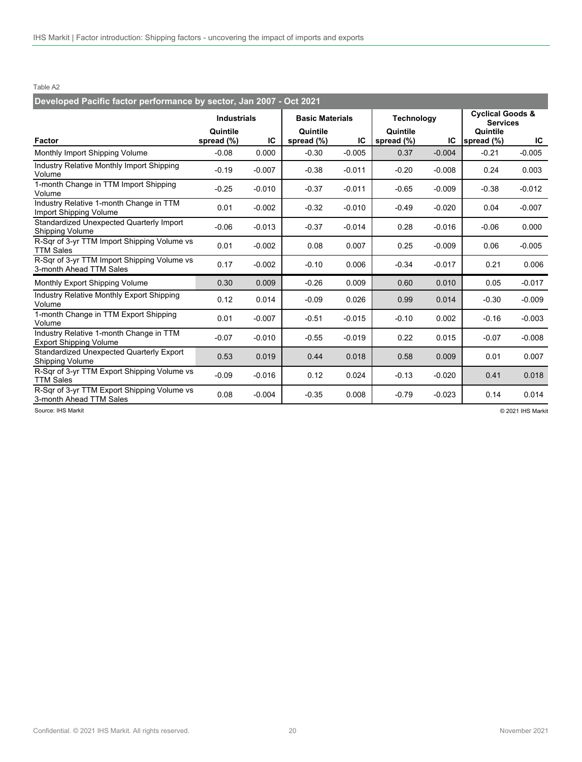Table A2

| Developed Pacific factor performance by sector, Jan 2007 - Oct 2021      |                        |          |                        |          |                        |          |                                                |          |
|--------------------------------------------------------------------------|------------------------|----------|------------------------|----------|------------------------|----------|------------------------------------------------|----------|
|                                                                          | <b>Industrials</b>     |          | <b>Basic Materials</b> |          | <b>Technology</b>      |          | <b>Cyclical Goods &amp;</b><br><b>Services</b> |          |
| Factor                                                                   | Quintile<br>spread (%) | IC       | Quintile<br>spread (%) | IС       | Quintile<br>spread (%) | IC       | Quintile<br>spread (%)                         | IC       |
| Monthly Import Shipping Volume                                           | $-0.08$                | 0.000    | $-0.30$                | $-0.005$ | 0.37                   | $-0.004$ | $-0.21$                                        | $-0.005$ |
| Industry Relative Monthly Import Shipping<br>Volume                      | $-0.19$                | $-0.007$ | $-0.38$                | $-0.011$ | $-0.20$                | $-0.008$ | 0.24                                           | 0.003    |
| 1-month Change in TTM Import Shipping<br>Volume                          | $-0.25$                | $-0.010$ | $-0.37$                | $-0.011$ | $-0.65$                | $-0.009$ | $-0.38$                                        | $-0.012$ |
| Industry Relative 1-month Change in TTM<br>Import Shipping Volume        | 0.01                   | $-0.002$ | $-0.32$                | $-0.010$ | $-0.49$                | $-0.020$ | 0.04                                           | $-0.007$ |
| Standardized Unexpected Quarterly Import<br>Shipping Volume              | $-0.06$                | $-0.013$ | $-0.37$                | $-0.014$ | 0.28                   | $-0.016$ | $-0.06$                                        | 0.000    |
| R-Sqr of 3-yr TTM Import Shipping Volume vs<br><b>TTM Sales</b>          | 0.01                   | $-0.002$ | 0.08                   | 0.007    | 0.25                   | $-0.009$ | 0.06                                           | $-0.005$ |
| R-Sqr of 3-yr TTM Import Shipping Volume vs<br>3-month Ahead TTM Sales   | 0.17                   | $-0.002$ | $-0.10$                | 0.006    | $-0.34$                | $-0.017$ | 0.21                                           | 0.006    |
| Monthly Export Shipping Volume                                           | 0.30                   | 0.009    | $-0.26$                | 0.009    | 0.60                   | 0.010    | 0.05                                           | $-0.017$ |
| <b>Industry Relative Monthly Export Shipping</b><br>Volume               | 0.12                   | 0.014    | $-0.09$                | 0.026    | 0.99                   | 0.014    | $-0.30$                                        | $-0.009$ |
| 1-month Change in TTM Export Shipping<br>Volume                          | 0.01                   | $-0.007$ | $-0.51$                | $-0.015$ | $-0.10$                | 0.002    | $-0.16$                                        | $-0.003$ |
| Industry Relative 1-month Change in TTM<br><b>Export Shipping Volume</b> | $-0.07$                | $-0.010$ | $-0.55$                | $-0.019$ | 0.22                   | 0.015    | $-0.07$                                        | $-0.008$ |
| Standardized Unexpected Quarterly Export<br><b>Shipping Volume</b>       | 0.53                   | 0.019    | 0.44                   | 0.018    | 0.58                   | 0.009    | 0.01                                           | 0.007    |
| R-Sqr of 3-yr TTM Export Shipping Volume vs<br><b>TTM Sales</b>          | $-0.09$                | $-0.016$ | 0.12                   | 0.024    | $-0.13$                | $-0.020$ | 0.41                                           | 0.018    |
| R-Sqr of 3-yr TTM Export Shipping Volume vs<br>3-month Ahead TTM Sales   | 0.08                   | $-0.004$ | $-0.35$                | 0.008    | $-0.79$                | $-0.023$ | 0.14                                           | 0.014    |

Source: IHS Markit © 2021 IHS Markit